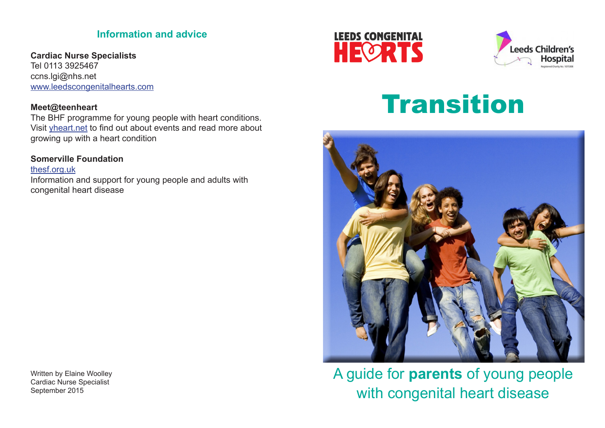# **Information and advice**

**Cardiac Nurse Specialists** Tel 0113 3925467 ccns.lgi@nhs.net www.leedscongenitalhearts.com

## **Meet@teenheart**

The BHF programme for young people with heart conditions. Visit yheart.net to find out about events and read more about growing up with a heart condition

# **Somerville Foundation**

thesf.org.uk Information and support for young people and adults with congenital heart disease

Written by Elaine Woolley Cardiac Nurse Specialist September 2015





# **Transition**



A guide for **parents** of young people with congenital heart disease